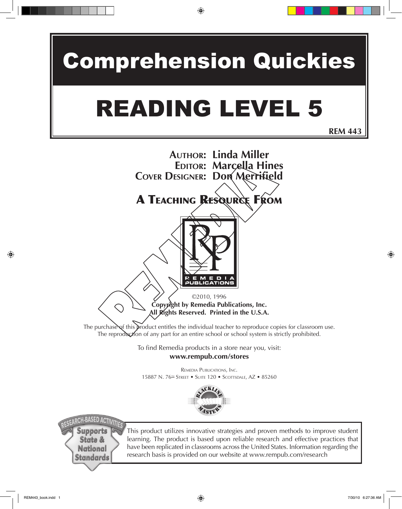# Comprehension Quickies

# READING LEVEL 5

**REM 443**

#### **AUTHOR: Linda Miller EDITOR: Marcella Hines COVER DESIGNER: Don Merrifield**

### A TEACHING RESOURCE FROM



©2010, 1996 **Copyright by Remedia Publications, Inc. All Rights Reserved. Printed in the U.S.A.** 

The purchase of this product entitles the individual teacher to reproduce copies for classroom use. The reproduction of any part for an entire school or school system is strictly prohibited.

> To find Remedia products in a store near you, visit: **www.rempub.com/stores**

REMEDIA PUBLICATIONS, INC. 15887 N. 76<sup>TH</sup> STREET • SUITE 120 • SCOTTSDALE, AZ • 85260



**H-BASED ACTI Supports State & National** Standards

This product utilizes innovative strategies and proven methods to improve student learning. The product is based upon reliable research and effective practices that have been replicated in classrooms across the United States. Information regarding the research basis is provided on our website at www.rempub.com/research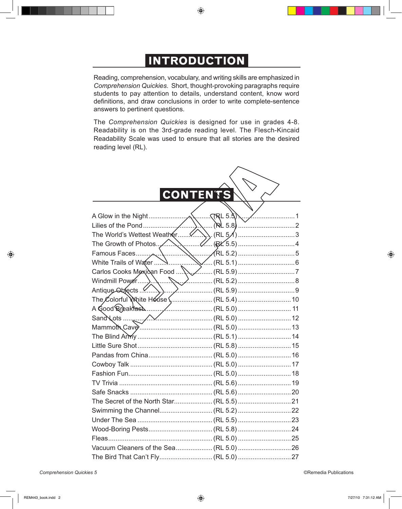### **INTRODUCTION**

Reading, comprehension, vocabulary, and writing skills are emphasized in *Comprehension Quickies*. Short, thought-provoking paragraphs require students to pay attention to details, understand content, know word definitions, and draw conclusions in order to write complete-sentence answers to pertinent questions.

The *Comprehension Quickies* is designed for use in grades 4-8. Readability is on the 3rd-grade reading level. The Flesch-Kincaid Readability Scale was used to ensure that all stories are the desired reading level (RL).

### **CONTENTS**

| The Colorful White House  (RL 5.4)  10 |  |
|----------------------------------------|--|
|                                        |  |
|                                        |  |
|                                        |  |
|                                        |  |
|                                        |  |
|                                        |  |
|                                        |  |
|                                        |  |
|                                        |  |
|                                        |  |
|                                        |  |
|                                        |  |
|                                        |  |
|                                        |  |
|                                        |  |
|                                        |  |
|                                        |  |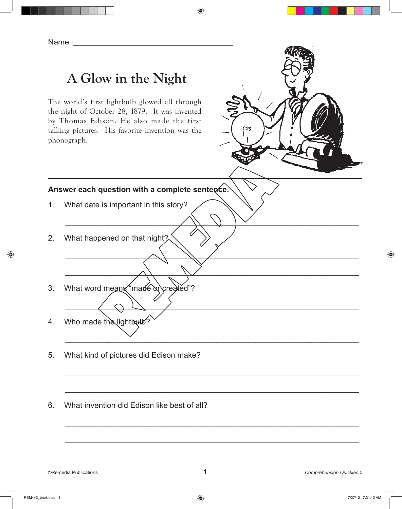## **A Glow in the Night**

The world's first lightbulb glowed all through the night of October 28, 1879. It was invented by Thomas Edison. He also made the first talking pictures. His favorite invention was the phonograph.



#### **Answer each question with a complete sentence.**

- 1. What date is important in this story?
- 2. What happened on that night?
- 3. What word means "made or created"?
- 4. Who made the lightbulb?
- 5. What kind of pictures did Edison make?
- 6. What invention did Edison like best of all?

\_\_\_\_\_\_\_\_\_\_\_\_\_\_\_\_\_\_\_\_\_\_\_\_\_\_\_\_\_\_\_\_\_\_\_\_\_\_\_\_\_\_\_\_\_\_\_\_\_\_\_\_\_\_\_\_\_\_\_\_\_\_\_\_\_\_\_\_

\_\_\_\_\_\_\_\_\_\_\_\_\_\_\_\_\_\_\_\_\_\_\_\_\_\_\_\_\_\_\_\_\_\_\_\_\_\_\_\_\_\_\_\_\_\_\_\_\_\_\_\_\_\_\_\_\_\_\_\_\_\_\_\_\_\_\_\_

\_\_\_\_\_\_\_\_\_\_\_\_\_\_\_\_\_\_\_\_\_\_\_\_\_\_\_\_\_\_\_\_\_\_\_\_\_\_\_\_\_\_\_\_\_\_\_\_\_\_\_\_\_\_\_\_\_\_\_\_\_\_\_\_\_\_\_\_

\_\_\_\_\_\_\_\_\_\_\_\_\_\_\_\_\_\_\_\_\_\_\_\_\_\_\_\_\_\_\_\_\_\_\_\_\_\_\_\_\_\_\_\_\_\_\_\_\_\_\_\_\_\_\_\_\_\_\_\_\_\_\_\_\_\_\_\_

\_\_\_\_\_\_\_\_\_\_\_\_\_\_\_\_\_\_\_\_\_\_\_\_\_\_\_\_\_\_\_\_\_\_\_\_\_\_\_\_\_\_\_\_\_\_\_\_\_\_\_\_\_\_\_\_\_\_\_\_\_\_\_\_\_\_\_\_

\_\_\_\_\_\_\_\_\_\_\_\_\_\_\_\_\_\_\_\_\_\_\_\_\_\_\_\_\_\_\_\_\_\_\_\_\_\_\_\_\_\_\_\_\_\_\_\_\_\_\_\_\_\_\_\_\_\_\_\_\_\_\_\_\_\_\_\_

\_\_\_\_\_\_\_\_\_\_\_\_\_\_\_\_\_\_\_\_\_\_\_\_\_\_\_\_\_\_\_\_\_\_\_\_\_\_\_\_\_\_\_\_\_\_\_\_\_\_\_\_\_\_\_\_\_\_\_\_\_\_\_\_\_\_\_\_

\_\_\_\_\_\_\_\_\_\_\_\_\_\_\_\_\_\_\_\_\_\_\_\_\_\_\_\_\_\_\_\_\_\_\_\_\_\_\_\_\_\_\_\_\_\_\_\_\_\_\_\_\_\_\_\_\_\_\_\_\_\_\_\_\_\_\_\_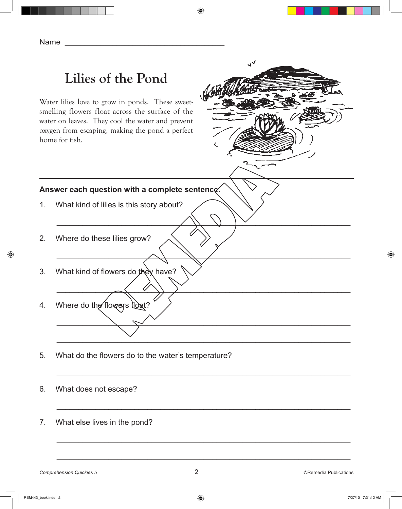# **Lilies of the Pond**

Water lilies love to grow in ponds. These sweetsmelling flowers float across the surface of the water on leaves. They cool the water and prevent oxygen from escaping, making the pond a perfect home for fish.



#### **Answer each question with a complete sentence.**

- 1. What kind of lilies is this story about?
- 2. Where do these lilies grow?
- 3. What kind of flowers do they have?
- 4. Where do the flowers float?
- 5. What do the flowers do to the water's temperature?
- 6. What does not escape?
- 7. What else lives in the pond?

\_\_\_\_\_\_\_\_\_\_\_\_\_\_\_\_\_\_\_\_\_\_\_\_\_\_\_\_\_\_\_\_\_\_\_\_\_\_\_\_\_\_\_\_\_\_\_\_\_\_\_\_\_\_\_\_\_\_\_\_\_\_\_\_\_\_\_\_

\_\_\_\_\_\_\_\_\_\_\_\_\_\_\_\_\_\_\_\_\_\_\_\_\_\_\_\_\_\_\_\_\_\_\_\_\_\_\_\_\_\_\_\_\_\_\_\_\_\_\_\_\_\_\_\_\_\_\_\_\_\_\_\_\_\_\_\_

\_\_\_\_\_\_\_\_\_\_\_\_\_\_\_\_\_\_\_\_\_\_\_\_\_\_\_\_\_\_\_\_\_\_\_\_\_\_\_\_\_\_\_\_\_\_\_\_\_\_\_\_\_\_\_\_\_\_\_\_\_\_\_\_\_\_\_\_

\_\_\_\_\_\_\_\_\_\_\_\_\_\_\_\_\_\_\_\_\_\_\_\_\_\_\_\_\_\_\_\_\_\_\_\_\_\_\_\_\_\_\_\_\_\_\_\_\_\_\_\_\_\_\_\_\_\_\_\_\_\_\_\_\_\_\_\_

\_\_\_\_\_\_\_\_\_\_\_\_\_\_\_\_\_\_\_\_\_\_\_\_\_\_\_\_\_\_\_\_\_\_\_\_\_\_\_\_\_\_\_\_\_\_\_\_\_\_\_\_\_\_\_\_\_\_\_\_\_\_\_\_\_\_\_\_

\_\_\_\_\_\_\_\_\_\_\_\_\_\_\_\_\_\_\_\_\_\_\_\_\_\_\_\_\_\_\_\_\_\_\_\_\_\_\_\_\_\_\_\_\_\_\_\_\_\_\_\_\_\_\_\_\_\_\_\_\_\_\_\_\_\_\_\_

\_\_\_\_\_\_\_\_\_\_\_\_\_\_\_\_\_\_\_\_\_\_\_\_\_\_\_\_\_\_\_\_\_\_\_\_\_\_\_\_\_\_\_\_\_\_\_\_\_\_\_\_\_\_\_\_\_\_\_\_\_\_\_\_\_\_\_\_

\_\_\_\_\_\_\_\_\_\_\_\_\_\_\_\_\_\_\_\_\_\_\_\_\_\_\_\_\_\_\_\_\_\_\_\_\_\_\_\_\_\_\_\_\_\_\_\_\_\_\_\_\_\_\_\_\_\_\_\_\_\_\_\_\_\_\_\_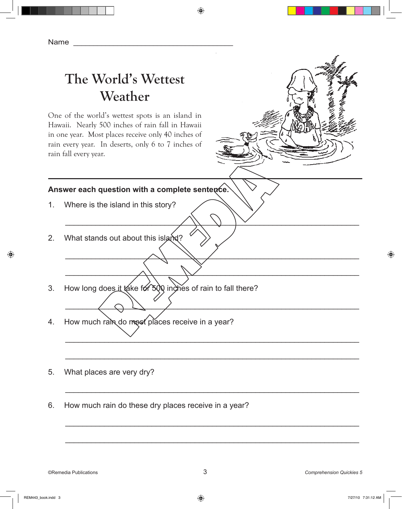## **The World's Wettest Weather**

One of the world's wettest spots is an island in Hawaii. Nearly 500 inches of rain fall in Hawaii in one year. Most places receive only 40 inches of rain every year. In deserts, only 6 to 7 inches of rain fall every year.

#### **Answer each question with a complete sentence.**

- 1. Where is the island in this story?
- 2. What stands out about this island?
- 3. How long does it take for 500 inches of rain to fall there?
- 4. How much rain do most places receive in a year?
- 5. What places are very dry?
- 6. How much rain do these dry places receive in a year?

\_\_\_\_\_\_\_\_\_\_\_\_\_\_\_\_\_\_\_\_\_\_\_\_\_\_\_\_\_\_\_\_\_\_\_\_\_\_\_\_\_\_\_\_\_\_\_\_\_\_\_\_\_\_\_\_\_\_\_\_\_\_\_\_\_\_\_\_

\_\_\_\_\_\_\_\_\_\_\_\_\_\_\_\_\_\_\_\_\_\_\_\_\_\_\_\_\_\_\_\_\_\_\_\_\_\_\_\_\_\_\_\_\_\_\_\_\_\_\_\_\_\_\_\_\_\_\_\_\_\_\_\_\_\_\_\_

\_\_\_\_\_\_\_\_\_\_\_\_\_\_\_\_\_\_\_\_\_\_\_\_\_\_\_\_\_\_\_\_\_\_\_\_\_\_\_\_\_\_\_\_\_\_\_\_\_\_\_\_\_\_\_\_\_\_\_\_\_\_\_\_\_\_\_\_

\_\_\_\_\_\_\_\_\_\_\_\_\_\_\_\_\_\_\_\_\_\_\_\_\_\_\_\_\_\_\_\_\_\_\_\_\_\_\_\_\_\_\_\_\_\_\_\_\_\_\_\_\_\_\_\_\_\_\_\_\_\_\_\_\_\_\_\_

\_\_\_\_\_\_\_\_\_\_\_\_\_\_\_\_\_\_\_\_\_\_\_\_\_\_\_\_\_\_\_\_\_\_\_\_\_\_\_\_\_\_\_\_\_\_\_\_\_\_\_\_\_\_\_\_\_\_\_\_\_\_\_\_\_\_\_\_

\_\_\_\_\_\_\_\_\_\_\_\_\_\_\_\_\_\_\_\_\_\_\_\_\_\_\_\_\_\_\_\_\_\_\_\_\_\_\_\_\_\_\_\_\_\_\_\_\_\_\_\_\_\_\_\_\_\_\_\_\_\_\_\_\_\_\_\_

\_\_\_\_\_\_\_\_\_\_\_\_\_\_\_\_\_\_\_\_\_\_\_\_\_\_\_\_\_\_\_\_\_\_\_\_\_\_\_\_\_\_\_\_\_\_\_\_\_\_\_\_\_\_\_\_\_\_\_\_\_\_\_\_\_\_\_\_

\_\_\_\_\_\_\_\_\_\_\_\_\_\_\_\_\_\_\_\_\_\_\_\_\_\_\_\_\_\_\_\_\_\_\_\_\_\_\_\_\_\_\_\_\_\_\_\_\_\_\_\_\_\_\_\_\_\_\_\_\_\_\_\_\_\_\_\_

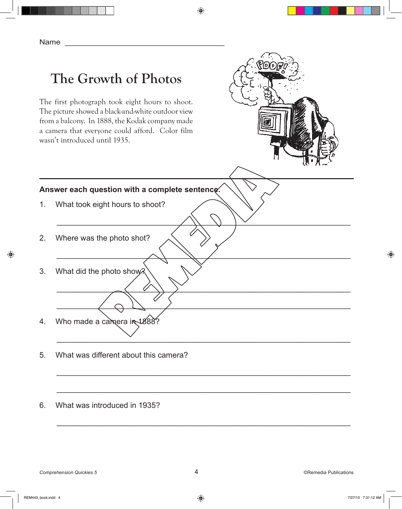# **The Growth of Photos**

The first photograph took eight hours to shoot. The picture showed a black-and-white outdoor view from a balcony. In 1888, the Kodak company made a camera that everyone could afford. Color film wasn't introduced until 1935.



#### **Answer each question with a complete sentence.**

- 1. What took eight hours to shoot?
- 2. Where was the photo shot?
- 3. What did the photo show?
- 4. Who made a camera in 1888?
- 5. What was different about this camera?
- 6. What was introduced in 1935?

\_\_\_\_\_\_\_\_\_\_\_\_\_\_\_\_\_\_\_\_\_\_\_\_\_\_\_\_\_\_\_\_\_\_\_\_\_\_\_\_\_\_\_\_\_\_\_\_\_\_\_\_\_\_\_\_\_\_\_\_\_\_\_\_\_\_\_\_

\_\_\_\_\_\_\_\_\_\_\_\_\_\_\_\_\_\_\_\_\_\_\_\_\_\_\_\_\_\_\_\_\_\_\_\_\_\_\_\_\_\_\_\_\_\_\_\_\_\_\_\_\_\_\_\_\_\_\_\_\_\_\_\_\_\_\_\_

\_\_\_\_\_\_\_\_\_\_\_\_\_\_\_\_\_\_\_\_\_\_\_\_\_\_\_\_\_\_\_\_\_\_\_\_\_\_\_\_\_\_\_\_\_\_\_\_\_\_\_\_\_\_\_\_\_\_\_\_\_\_\_\_\_\_\_\_

\_\_\_\_\_\_\_\_\_\_\_\_\_\_\_\_\_\_\_\_\_\_\_\_\_\_\_\_\_\_\_\_\_\_\_\_\_\_\_\_\_\_\_\_\_\_\_\_\_\_\_\_\_\_\_\_\_\_\_\_\_\_\_\_\_\_\_\_

\_\_\_\_\_\_\_\_\_\_\_\_\_\_\_\_\_\_\_\_\_\_\_\_\_\_\_\_\_\_\_\_\_\_\_\_\_\_\_\_\_\_\_\_\_\_\_\_\_\_\_\_\_\_\_\_\_\_\_\_\_\_\_\_\_\_\_\_

\_\_\_\_\_\_\_\_\_\_\_\_\_\_\_\_\_\_\_\_\_\_\_\_\_\_\_\_\_\_\_\_\_\_\_\_\_\_\_\_\_\_\_\_\_\_\_\_\_\_\_\_\_\_\_\_\_\_\_\_\_\_\_\_\_\_\_\_

\_\_\_\_\_\_\_\_\_\_\_\_\_\_\_\_\_\_\_\_\_\_\_\_\_\_\_\_\_\_\_\_\_\_\_\_\_\_\_\_\_\_\_\_\_\_\_\_\_\_\_\_\_\_\_\_\_\_\_\_\_\_\_\_\_\_\_\_